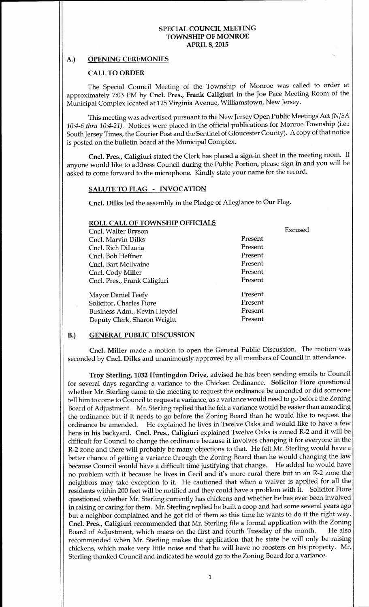# A.) OPENING CEREMONIES

# CALL TO ORDER

The Special Council Meeting of the Township of Monroe was called to order at approximately 7:03 PM by Cncl. Pres., Frank Caligiuri in the Joe Pace Meeting Room of the Municipal Complex located at 125 Virginia Avenue, Williamstown, New Jersey.

This meeting was advertised pursuant to the New Jersey Open Public Meetings Act( NJSA 10:4-6 thru 10:4-21). Notices were placed in the official publications for Monroe Township (i.e.: South Jersey Times, the Courier Post and the Sentinel of Gloucester County). A copy of that notice is posted on the bulletin board at the Municipal Complex.

Cncl. Pres., Caligiuri stated the Clerk has placed a sign-in sheet in the meeting room. If anyone would like to address Council during the Public Portion, please sign in and you will be asked to come forward to the microphone. Kindly state your name for the record.

## SALUTE TO FLAG - INVOCATION

Cncl. Dilks led the assembly in the Pledge of Allegiance to Our Flag.

#### ROLL CALL OF TOWNSHIP OFFICIALS

| Cncl. Walter Bryson          |         | Excused |
|------------------------------|---------|---------|
| Cncl. Marvin Dilks           | Present |         |
| Cncl. Rich DiLucia           | Present |         |
| Cncl. Bob Heffner            | Present |         |
| Cncl. Bart McIlvaine         | Present |         |
| Cncl. Cody Miller            | Present |         |
| Cncl. Pres., Frank Caligiuri | Present |         |
| Mayor Daniel Teefy           | Present |         |
| Solicitor, Charles Fiore     | Present |         |
| Business Adm., Kevin Heydel  | Present |         |
| Deputy Clerk, Sharon Wright  | Present |         |
|                              |         |         |

# B.) GENERAL PUBLIC DISCUSSION

Cncl. Miller made <sup>a</sup> motion to open the General Public Discussion. The motion was seconded by Cncl. Dilks and unanimously approved by all members of Council in attendance.

Troy Sterling, 1032 Huntingdon Drive, advised he has been sending emails to Council for several days regarding <sup>a</sup> variance to the Chicken Ordinance. Solicitor Fiore questioned whether Mr. Sterling came to the meeting to request the ordinance be amended or did someone tell him to come to Council to request a variance, as a variance would need to go before the Zoning Board of Adjustment. Mr. Sterling replied that he felt <sup>a</sup> variance would be easier than amending the ordinance but if it needs to go before the Zoning Board than he would like to request the ordinance be amended. He explained he lives in Twelve Oaks and would like to have a few hens in his backyard. Cncl. Pres., Caligiuri explained Twelve Oaks is zoned R-2 and it will be difficult for Council to change the ordinance because it involves changing it for everyone in the R-2 zone and there will probably be many objections to that. He felt Mr. Sterling would have a better chance of getting a variance through the Zoning Board than he would changing the law because Council would have <sup>a</sup> difficult time justifying that change. He added he would have no problem with it because he lives in Cecil and it's more rural there but in an R-2 zone the neighbors may take exception to it. He cautioned that when <sup>a</sup> waiver is applied for all the residents within <sup>200</sup> feet will be notified and they could have <sup>a</sup> problem with it. Solicitor Fiore questioned whether Mr. Sterling currently has chickens and whether he has ever been involved in raising or caring for them. Mr. Sterling replied he built a coop and had some several years ago but <sup>a</sup> neighbor complained and he got rid of them so this time he wants to do it the right way. Cncl. Pres., Caligiuri recommended that Mr. Sterling file a formal application with the Zoning<br>Board of Adjustment, which meets on the first and fourth Tuesday of the month. He also Board of Adjustment, which meets on the first and fourth Tuesday of the month. recommended when Mr. Sterling makes the application that he state he will only be raising chickens, which make very little noise and that he will have no roosters on his property. Mr. Sterling thanked Council and indicated he would go to the Zoning Board for <sup>a</sup> variance.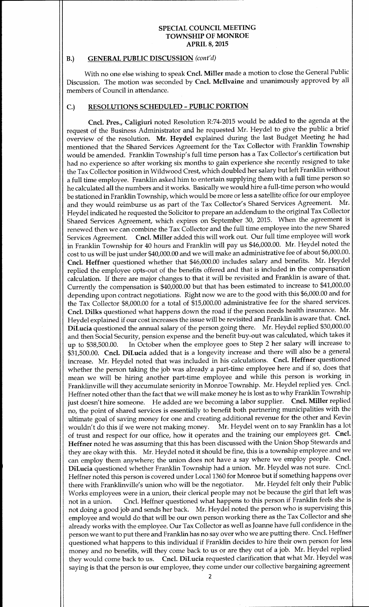## B.) GENERAL PUBLIC DISCUSSION (cont'd)

With no one else wishing to speak Cncl. Miller made <sup>a</sup> motion to close the General Public Discussion. The motion was seconded by Cncl. Mcllvaine and unanimously approved by all members of Council in attendance.

#### C.) RESOLUTIONS SCHEDULED- PUBLIC PORTION

Cncl. Pres., Caligiuri noted Resolution R:74- 2015 would be added to the agenda at the request of the Business Administrator and he requested Mr. Heydel to give the public <sup>a</sup> brief overview of the resolution. Mr. Heydel explained during the last Budget Meeting he had mentioned that the Shared Services Agreement for the Tax Collector with Franklin Township would be amended. Franklin Township's full time person has a Tax Collector's certification but had no experience so after working six months to gain experience she recently resigned to take the Tax Collector position in Wildwood Crest, which doubled her salary but left Franklin without <sup>a</sup> full time employee. Franklin asked him to entertain supplying them with a full time person so he calculated all the numbers and it works. Basically we would hire <sup>a</sup> full-time person who would be stationed in Franklin Township, which would be more or less a satellite office for our employee<br>and they would reimburse us as part of the Tax Collector's Shared Services Agreement. Mr. and they would reimburse us as part of the Tax Collector's Shared Services Agreement. Heydel indicated he requested the Solicitor to prepare an addendum to the original Tax Collector Shared Services Agreement, which expires on September 30, 2015. When the agreement is renewed then we can combine the Tax Collector and the full time employee into the new Shared Services Agreement. Cncl. Miller added this will work out. Our full time employee will work in Franklin Township for <sup>40</sup> hours and Franklin will pay us \$46,000.00. Mr. Heydel noted the cost to us will be just under \$40,000.00 and we will make an administrative fee of about \$6,000.00. Cncl. Heffner questioned whether that \$46,000.00 includes salary and benefits. Mr. Heydel replied the employee opts-out of the benefits offered and that is included in the compensation calculation. If there are major changes to that it will be revisited and Franklin is aware of that. Currently the compensation is \$40,000.00 but that has been estimated to increase to \$41,000.00 depending upon contract negotiations. Right now we are to the good with this \$6,000.00 and for the Tax Collector \$8,000.00 for a total of \$15,000.00 administrative fee for the shared services. Cncl. Dilks questioned what happens down the road if the person needs health insurance. Mr. Heydel explained if our cost increases the issue will be revisited and Franklin is aware that. Cncl. DiLucia questioned the annual salary of the person going there. Mr. Heydel replied \$30,000.00 and then Social Security, pension expense and the benefit buy-out was calculated, which takes it up to \$38,500.00. In October when the employee goes to Step 2 her salary will increase to In October when the employee goes to Step 2 her salary will increase to \$31,500.00. Cncl. DiLucia added that is a longevity increase and there will also be a general increase. Mr. Heydel noted that was included in his calculations. Cncl. Heffner questioned whether the person taking the job was already a part-time employee here and if so, does that mean we will be hiring another part-time employee and while this person is working in Franklinville will they accumulate seniority in Monroe Township. Mr. Heydel replied yes. Cncl. Heffner noted other than the fact that we will make money he is lost as to why Franklin Township just doesn't hire someone. He added are we becoming a labor supplier. Cncl. Miller replied no, the point of shared services is essentially to benefit both partnering municipalities with the ultimate goal of saving money for one and creating additional revenue for the other and Kevin<br>wouldn't do this if we were not making money. Mr. Heydel went on to say Franklin has a lot Mr. Heydel went on to say Franklin has a lot of trust and respect for our office, how it operates and the training our employees get. Cncl. Heffner noted he was assuming that this has been discussed with the Union Shop Stewards and they are okay with this. Mr. Heydel noted it should be fine, this is <sup>a</sup> township employee and we can employ them anywhere; the union does not have <sup>a</sup> say where we employ people. Cncl. DiLucia questioned whether Franklin Township had <sup>a</sup> union. Mr. Heydel was not sure. Cncl. Heffner noted this person is covered under Local 1360 for Monroe but if something happens over<br>there with Franklinville's union who will be the negotiator. Mr. Heydel felt only their Public there with Franklinville's union who will be the negotiator. Works employees were in a union, their clerical people may not be because the girl that left was not in <sup>a</sup> union. Cncl. Heffner questioned what happens to this person if Franklin feels she is not doing <sup>a</sup> good job and sends her back. Mr. Heydel noted the person who is supervising this employee and would do that will be our own person working there as the Tax Collector and she already works with the employee. Our Tax Collector as well as Joanne have full confidence in the person we want to put there and Franklin has no say over who we are putting there. Cncl. Heffner questioned what happens to this individual if Franklin decides to hire their own person for less money and no benefits, will they come back to us or are they out of <sup>a</sup> job. Mr. Heydel replied they would come back to us. Cncl. DiLucia requested clarification that what Mr. Heydel was saying is that the person is our employee, they come under our collective bargaining agreement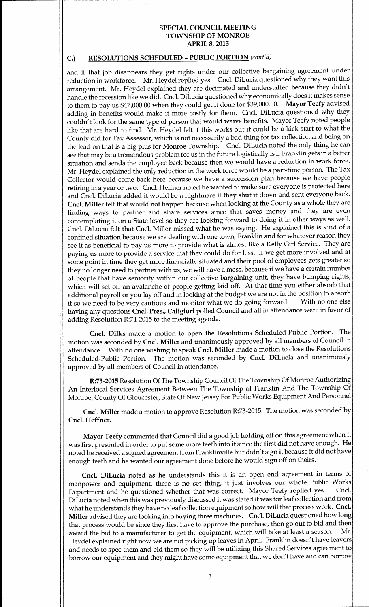# C.) RESOLUTIONS SCHEDULED - PUBLIC PORTION (cont'd)

and if that job disappears they get rights under our collective bargaining agreement under reduction in workforce. Mr. Heydel replied yes. Cncl. DiLucia questioned why they want this arrangement. Mr. Heydel explained they are decimated and understaffed because they didn't handle the recession like we did. Cncl. DiLucia questioned why economically does it makes sense to them to pay us \$47,000.<sup>00</sup> when they could get it done for \$39,000.00. Mayor Teefy advised adding in benefits would make it more costly for them. Cncl. DiLucia questioned why they couldn't look for the same type of person that would waive benefits. Mayor Teefy noted people like that are hard to find. Mr. Heydel felt if this works out it could be <sup>a</sup> kick start to what the County did for Tax Assessor, which is not necessarily a bad thing for tax collection and being on the lead on that is <sup>a</sup> big plus for Monroe Township. Cncl. DiLucia noted the only thing he can see that may be <sup>a</sup> tremendous problem for us in the future logistically is if Franklin gets in <sup>a</sup> better situation and sends the employee back because then we would have a reduction in work force. Mr. Heydel explained the only reduction in the work force would be a part-time person. The Tax Collector would come back here because we have a succession plan because we have people retiring in <sup>a</sup> year or two. Cncl. Heffner noted he wanted to make sure everyone is protected here and Cncl. DiLucia added it would be <sup>a</sup> nightmare if they shut it down and sent everyone back. Cncl. Miller felt that would not happen because when looking at the County as <sup>a</sup> whole they are finding ways to partner and share services since that saves money and they are even contemplating it on <sup>a</sup> State level so they are looking forward to doing it in other ways as well. Cncl. DiLucia felt that Cncl. Miller missed what he was saying. He explained this is kind of <sup>a</sup> confined situation because we are dealing with one town, Franklin and for whatever reason they see it as beneficial to pay us more to provide what is almost like <sup>a</sup> Kelly Girl Service. They are paying us more to provide a service that they could do for less. If we get more involved and at some point in time they get more financially situated and their pool of employees gets greater so they no longer need to partner with us, we will have <sup>a</sup> mess, because if we have <sup>a</sup> certain number of people that have seniority within our collective bargaining unit, they have bumping rights, which will set off an avalanche of people getting laid off. At that time you either absorb that additional payroll or you lay off and in looking at the budget we are not in the position to absorb<br>it so we need to be very cautious and monitor what we do going forward. With no one else it so we need to be very cautious and monitor what we do going forward. having any questions Cncl. Pres., Caligiuri polled Council and all in attendance were in favor of adding Resolution R:74-2015 to the meeting agenda.

Cncl. Dilks made <sup>a</sup> motion to open the Resolutions Scheduled-Public Portion. The motion was seconded by Cncl. Miller and unanimously approved by all members of Council in attendance. With no one wishing to speak Cncl. Miller made <sup>a</sup> motion to close the Resolutions Scheduled-Public Portion. The motion was seconded by Cncl. DiLucia and unanimously approved by all members of Council in attendance.

R:73- 2015 Resolution Of The Township Council Of The Township Of Monroe Authorizing An Interlocal Services Agreement Between The Township of Franklin And The Township Of Monroe, County Of Gloucester, State Of New Jersey For Public Works Equipment And Personnel

Cncl. Miller made <sup>a</sup> motion to approve Resolution R:73- 2015. The motion was seconded by Cncl. Heffner.

Mayor Teefy commented that Council did <sup>a</sup> good job holding off on this agreement when it was first presented in order to put some more teeth into it since the first did not have enough. He noted he received <sup>a</sup> signed agreement from Franklinville but didn't sign it because it did not have enough teeth and he wanted our agreement done before he would sign off on theirs.

Cncl. DiLucia noted as he understands this it is an open end agreement in terms of manpower and equipment, there is no set thing, it just involves our whole Public Works<br>Department and he questioned whether that was correct. Mayor Teefy replied yes. Cncl. Department and he questioned whether that was correct. Mayor Teefy replied yes. DiLucia noted when this was previously discussed it was stated it was for leaf collection and from what he understands they have no leaf collection equipment so how will that process work. Cncl. Miller advised they are looking into buying three machines. Cncl. DiLucia questioned how long that process would be since they first have to approve the purchase, then go out to bid and then<br>award the bid to a manufacturer to get the equipment, which will take at least a season. Mr. award the bid to a manufacturer to get the equipment, which will take at least a season. Heydel explained right now we are not picking up leaves in April. Franklin doesn't have leavers and needs to spec them and bid them so they will be utilizing this Shared Services agreement to borrow our equipment and they might have some equipment that we don't have and can borrow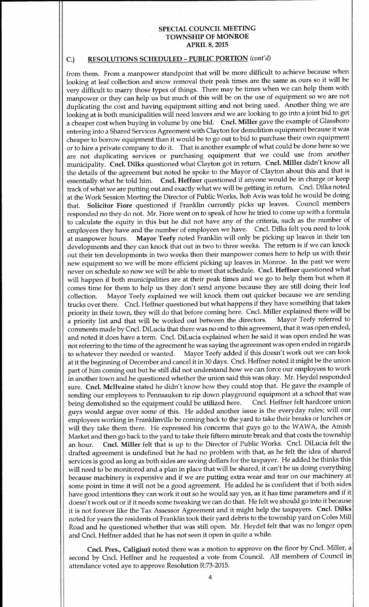# C.) RESOLUTIONS SCHEDULED - PUBLIC PORTION (cont'd)

from them. From <sup>a</sup> manpower standpoint that will be more difficult to achieve because when looking at leaf collection and snow removal their peak times are the same as ours so it will be very difficult to marry those types of things. There may be times when we can help them with manpower or they can help us but much of this will be on the use of equipment so we are not duplicating the cost and having equipment sitting and not being used. Another thing we are looking at is both municipalities will need leavers and we are looking to go into <sup>a</sup> joint bid to get a cheaper cost when buying in volume by one bid. Cncl. Miller gave the example of Glassboro entering into <sup>a</sup> Shared Services Agreement with Clayton for demolition equipment because it was cheaper to borrow equipment than it would be to go out to bid to purchase their own equipment or to hire <sup>a</sup> private company to do it. That is another example of what could be done here so we are not duplicating services or purchasing equipment that we could use from another municipality. Cncl. Dilks questioned what Clayton got in return. Cncl. Miller didn't know all the details of the agreement but noted he spoke to the Mayor of Clayton about this and that is essentially what he told him. Cncl. Heffner questioned if anyone would be in charge or keep track of what we are putting out and exactly what we will be getting in return. Cncl. Dilks noted at the Work Session Meeting the Director of Public Works, Bob Avis was told he would be doing that. Solicitor Fiore questioned if Franklin currently picks up leaves. Council members responded no they do not. Mr. Fiore went on to speak of how he tried to come up with <sup>a</sup> formula to calculate the equity in this but he did not have any of the criteria, such as the number of employees they have and the number of employees we have. Cncl. Dilks felt you need to look at manpower hours. Mayor Teefy noted Franklin will only be picking up leaves in their ten Mayor Teefy noted Franklin will only be picking up leaves in their ten developments and they can knock that out in two to three weeks. The return is if we can knock out their ten developments in two weeks then their manpower comes here to help us with their new equipment so we will be more efficient picking up leaves in Monroe. In the past we were never on schedule so now we will be able to meet that schedule. Cncl. Heffner questioned what will happen if both municipalities are at their peak times and we go to help them but when it comes time for them to help us they don't send anyone because they are still doing their leaf<br>collection. Mayor Teefy explained we will knock them out quicker because we are sending Mayor Teefy explained we will knock them out quicker because we are sending trucks over there. Cncl. Heffner questioned but what happens if they have something that takes priority in their town, they will do that before coming here. Cncl. Miller explained there will be<br>a priority list and that will be worked out between the directors. Mayor Teefy referred to a priority list and that will be worked out between the directors. Mayor Teefy referred to comments made by Cncl. DiLucia that there was no end to this agreement, that it was open ended, and noted it does have <sup>a</sup> term. Cncl. DiLucia explained when he said it was open ended he was not referring to the time of the agreement he was saying the agreement was open ended in regards<br>to whatever they needed or wanted. Mayor Teefy added if this doesn't work out we can look Mayor Teefy added if this doesn't work out we can look at it the beginning of December and cancel it in <sup>30</sup> days. Cncl. Heffner noted it might be the union part of him coming out but he still did not understand how we can force our employees to work in another town and he questioned whether the union said this was okay. Mr. Heydel responded sure. Cncl. Mcllvaine stated he didn't know how they could stop that. He gave the example of sending our employees to Pennsauken to rip down playground equipment at a school that was<br>being demolished so the equipment could be utilized here. Cncl. Heffner felt hardcore union being demolished so the equipment could be utilized here. guys would argue over some of this. He added another issue is the everyday rules; will our employees working in Franklinville be coming back to the yard to take their breaks or lunches or will they take them there. He expressed his concerns that guys go to the WAWA, the Amish Market and then go back to the yard to take their fifteen minute break and that costs the township an hour. Cncl. Miller felt that is up to the Director of Public Works. Cncl. DiLucia felt the drafted agreement is undefined but he had no problem with that, as he felt the idea of shared services is good as long as both sides are saving dollars for the taxpayer. He added he thinks this will need to be monitored and a plan in place that will be shared, it can't be us doing everything because machinery is expensive and if we are putting extra wear and tear on our machinery at some point in time it will not be <sup>a</sup> good agreement. He added he is confident that if both sides have good intentions they can work it out so he would say yes, as it has time parameters and if it doesn' t work out or if it needs some tweaking we can do that. He felt we should go into it because it is not forever like the Tax Assessor Agreement and it might help the taxpayers. Cncl. Dilks noted for years the residents of Franklin took their yard debris to the township yard on Coles Mill Road and he questioned whether that was still open. Mr. Heydel felt that was no longer open and Cncl. Heffner added that he has not seen it open in quite <sup>a</sup> while.

Cncl. Pres., Caligiuri noted there was a motion to approve on the floor by Cncl. Miller, a second by Cncl. Heffner and he requested <sup>a</sup> vote from Council. All members of Council in attendance voted aye to approve Resolution R:73- 2015.